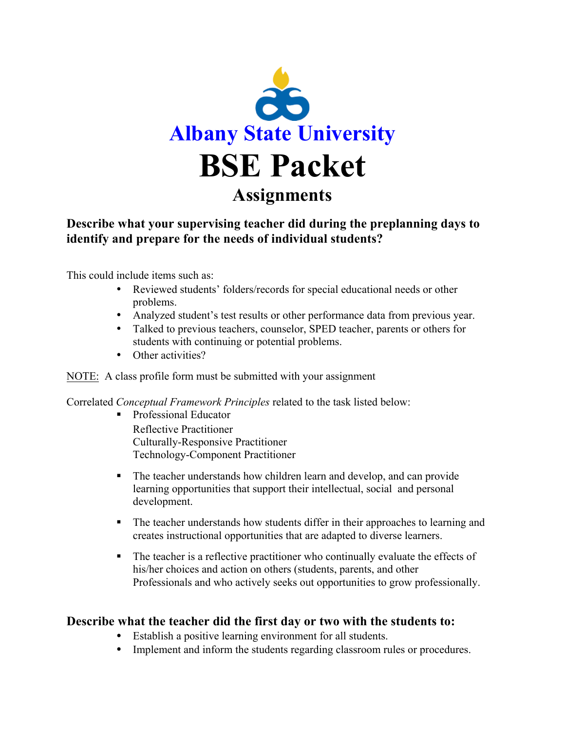

### **Describe what your supervising teacher did during the preplanning days to identify and prepare for the needs of individual students?**

This could include items such as:

- Reviewed students' folders/records for special educational needs or other problems.
- Analyzed student's test results or other performance data from previous year.
- Talked to previous teachers, counselor, SPED teacher, parents or others for students with continuing or potential problems.
- Other activities?

#### NOTE: A class profile form must be submitted with your assignment

Correlated *Conceptual Framework Principles* related to the task listed below:

- Professional Educator Reflective Practitioner Culturally-Responsive Practitioner Technology-Component Practitioner
- The teacher understands how children learn and develop, and can provide learning opportunities that support their intellectual, social and personal development.
- The teacher understands how students differ in their approaches to learning and creates instructional opportunities that are adapted to diverse learners.
- § The teacher is a reflective practitioner who continually evaluate the effects of his/her choices and action on others (students, parents, and other Professionals and who actively seeks out opportunities to grow professionally.

### **Describe what the teacher did the first day or two with the students to:**

- Establish a positive learning environment for all students.
- Implement and inform the students regarding classroom rules or procedures.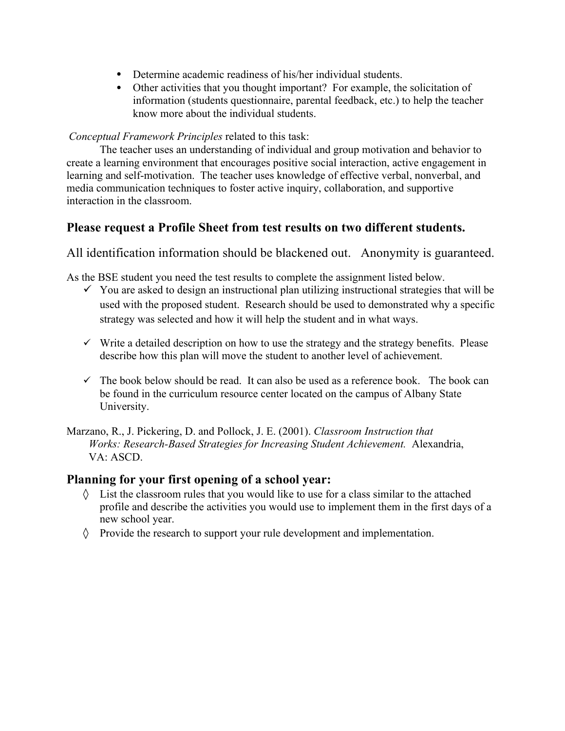- Determine academic readiness of his/her individual students.
- Other activities that you thought important? For example, the solicitation of information (students questionnaire, parental feedback, etc.) to help the teacher know more about the individual students.

#### *Conceptual Framework Principles* related to this task:

The teacher uses an understanding of individual and group motivation and behavior to create a learning environment that encourages positive social interaction, active engagement in learning and self-motivation. The teacher uses knowledge of effective verbal, nonverbal, and media communication techniques to foster active inquiry, collaboration, and supportive interaction in the classroom.

### **Please request a Profile Sheet from test results on two different students.**

All identification information should be blackened out. Anonymity is guaranteed.

As the BSE student you need the test results to complete the assignment listed below.

- $\checkmark$  You are asked to design an instructional plan utilizing instructional strategies that will be used with the proposed student. Research should be used to demonstrated why a specific strategy was selected and how it will help the student and in what ways.
- $\checkmark$  Write a detailed description on how to use the strategy and the strategy benefits. Please describe how this plan will move the student to another level of achievement.
- $\checkmark$  The book below should be read. It can also be used as a reference book. The book can be found in the curriculum resource center located on the campus of Albany State University.

Marzano, R., J. Pickering, D. and Pollock, J. E. (2001). *Classroom Instruction that Works: Research-Based Strategies for Increasing Student Achievement.* Alexandria, VA: ASCD.

### **Planning for your first opening of a school year:**

- $\Diamond$  List the classroom rules that you would like to use for a class similar to the attached profile and describe the activities you would use to implement them in the first days of a new school year.
- ◊ Provide the research to support your rule development and implementation.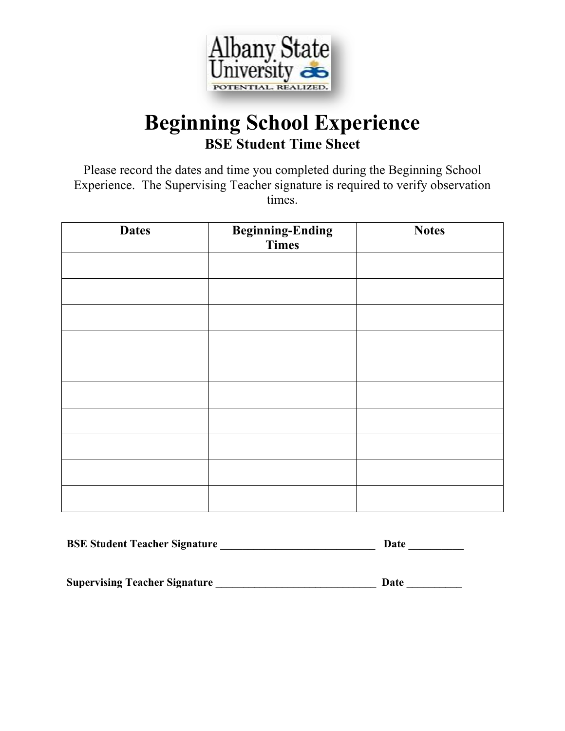

## **Beginning School Experience BSE Student Time Sheet**

Please record the dates and time you completed during the Beginning School Experience. The Supervising Teacher signature is required to verify observation times.

| <b>Dates</b> | <b>Beginning-Ending</b><br>Times | <b>Notes</b> |
|--------------|----------------------------------|--------------|
|              |                                  |              |
|              |                                  |              |
|              |                                  |              |
|              |                                  |              |
|              |                                  |              |
|              |                                  |              |
|              |                                  |              |
|              |                                  |              |
|              |                                  |              |
|              |                                  |              |

| <b>BSE Student Teacher Signature</b> | Date |  |
|--------------------------------------|------|--|
|                                      |      |  |

**Supervising Teacher Signature \_\_\_\_\_\_\_\_\_\_\_\_\_\_\_\_\_\_\_\_\_\_\_\_\_\_\_\_\_ Date \_\_\_\_\_\_\_\_\_\_**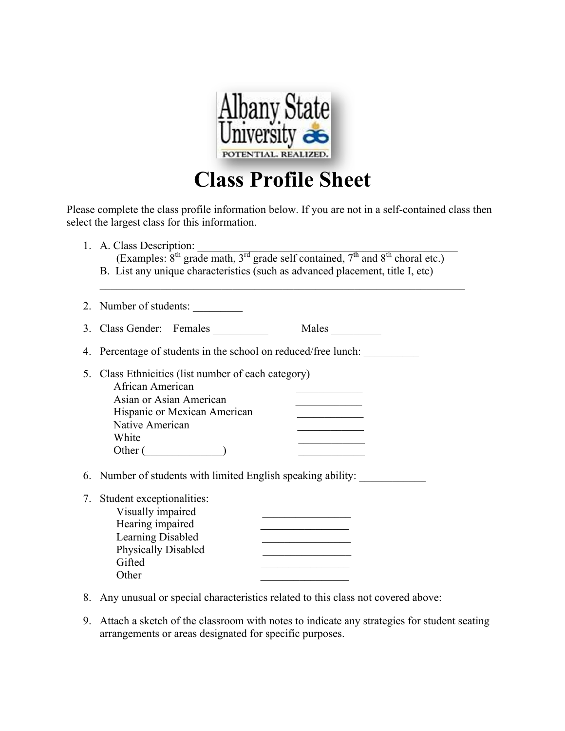

# **Class Profile Sheet**

Please complete the class profile information below. If you are not in a self-contained class then select the largest class for this information.

|    | 1. A. Class Description:<br>(Examples: 8 <sup>th</sup> grade math, 3 <sup>rd</sup> grade self contained, 7 <sup>th</sup> and 8 <sup>th</sup> choral etc.)<br>B. List any unique characteristics (such as advanced placement, title I, etc) |
|----|--------------------------------------------------------------------------------------------------------------------------------------------------------------------------------------------------------------------------------------------|
|    | 2. Number of students:                                                                                                                                                                                                                     |
|    | 3. Class Gender: Females<br>Males                                                                                                                                                                                                          |
|    | 4. Percentage of students in the school on reduced/free lunch:                                                                                                                                                                             |
| 5. | Class Ethnicities (list number of each category)<br>African American<br>Asian or Asian American<br>Hispanic or Mexican American<br>Native American<br>White<br>Other (                                                                     |
|    | 6. Number of students with limited English speaking ability:                                                                                                                                                                               |
| 7  | Student exceptionalities:<br>Visually impaired<br>Hearing impaired<br>Learning Disabled<br><u> 1989 - Johann Barbara, martin a</u><br><b>Physically Disabled</b><br>Gifted<br>Other                                                        |

- 8. Any unusual or special characteristics related to this class not covered above:
- 9. Attach a sketch of the classroom with notes to indicate any strategies for student seating arrangements or areas designated for specific purposes.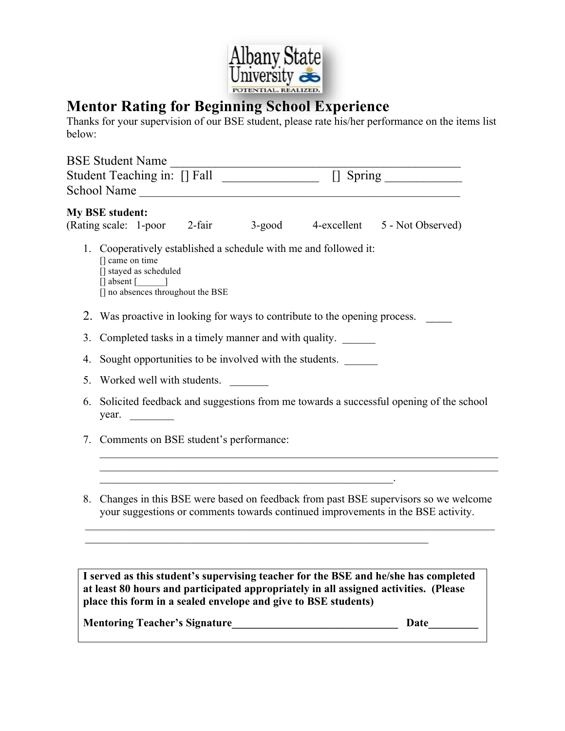

### **Mentor Rating for Beginning School Experience**

Thanks for your supervision of our BSE student, please rate his/her performance on the items list below:

| BSE Student Name                                                                                                                                                          |  |  |  |  |
|---------------------------------------------------------------------------------------------------------------------------------------------------------------------------|--|--|--|--|
| Student Teaching in: [] Fall [1] [1] [1] Spring                                                                                                                           |  |  |  |  |
|                                                                                                                                                                           |  |  |  |  |
| <b>My BSE student:</b><br>(Rating scale: 1-poor 2-fair<br>3-good 4-excellent 5 - Not Observed)                                                                            |  |  |  |  |
| 1. Cooperatively established a schedule with me and followed it:<br>[] came on time<br>[] stayed as scheduled<br>$[]$ absent $[$ $]$<br>[] no absences throughout the BSE |  |  |  |  |
| 2. Was proactive in looking for ways to contribute to the opening process.                                                                                                |  |  |  |  |
| Completed tasks in a timely manner and with quality.<br>3.                                                                                                                |  |  |  |  |
| Sought opportunities to be involved with the students.<br>4.                                                                                                              |  |  |  |  |
| Worked well with students.<br>5.                                                                                                                                          |  |  |  |  |
| Solicited feedback and suggestions from me towards a successful opening of the school<br>6.<br>year. $\qquad \qquad$                                                      |  |  |  |  |
| 7. Comments on BSE student's performance:                                                                                                                                 |  |  |  |  |
|                                                                                                                                                                           |  |  |  |  |
| 8. Changes in this BSE were based on feedback from past BSE supervisors so we welcome<br>your suggestions or comments towards continued improvements in the BSE activity. |  |  |  |  |
|                                                                                                                                                                           |  |  |  |  |
|                                                                                                                                                                           |  |  |  |  |

**I served as this student's supervising teacher for the BSE and he/she has completed at least 80 hours and participated appropriately in all assigned activities. (Please place this form in a sealed envelope and give to BSE students)**

**Mentoring Teacher's Signature\_\_\_\_\_\_\_\_\_\_\_\_\_\_\_\_\_\_\_\_\_\_\_\_\_\_\_\_\_\_ Date\_\_\_\_\_\_\_\_\_**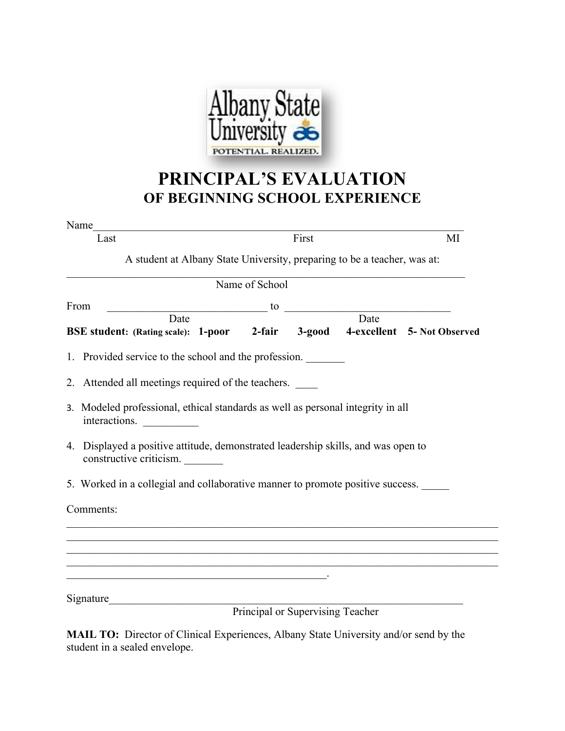

## **PRINCIPAL'S EVALUATION OF BEGINNING SCHOOL EXPERIENCE**

| Name                                                                                                                                                                                                                                                                                                    | the control of the control of the control of the control of the control of the control of                               |                                  |    |
|---------------------------------------------------------------------------------------------------------------------------------------------------------------------------------------------------------------------------------------------------------------------------------------------------------|-------------------------------------------------------------------------------------------------------------------------|----------------------------------|----|
| Last                                                                                                                                                                                                                                                                                                    |                                                                                                                         | First                            | MI |
|                                                                                                                                                                                                                                                                                                         | A student at Albany State University, preparing to be a teacher, was at:                                                |                                  |    |
|                                                                                                                                                                                                                                                                                                         | Name of School                                                                                                          |                                  |    |
| From                                                                                                                                                                                                                                                                                                    | $\frac{1}{2}$ to $\frac{1}{2}$ Date                                                                                     |                                  |    |
| BSE student: (Rating scale): 1-poor 2-fair 3-good 4-excellent 5- Not Observed                                                                                                                                                                                                                           |                                                                                                                         |                                  |    |
| 1. Provided service to the school and the profession.                                                                                                                                                                                                                                                   |                                                                                                                         |                                  |    |
| 2. Attended all meetings required of the teachers.                                                                                                                                                                                                                                                      |                                                                                                                         |                                  |    |
| 3. Modeled professional, ethical standards as well as personal integrity in all<br>interactions.<br>$\label{eq:2} \mathcal{L} = \left\{ \begin{aligned} \mathcal{L}^{\text{max}}_{\text{max}} & \mathcal{L}^{\text{max}}_{\text{max}} \leq \mathcal{L}^{\text{max}}_{\text{max}} \end{aligned} \right.$ |                                                                                                                         |                                  |    |
| 4. Displayed a positive attitude, demonstrated leadership skills, and was open to<br>constructive criticism.                                                                                                                                                                                            |                                                                                                                         |                                  |    |
| 5. Worked in a collegial and collaborative manner to promote positive success.                                                                                                                                                                                                                          |                                                                                                                         |                                  |    |
| Comments:                                                                                                                                                                                                                                                                                               |                                                                                                                         |                                  |    |
|                                                                                                                                                                                                                                                                                                         |                                                                                                                         |                                  |    |
|                                                                                                                                                                                                                                                                                                         |                                                                                                                         |                                  |    |
|                                                                                                                                                                                                                                                                                                         | the control of the control of the control of the control of the control of the control of the control of the control of |                                  |    |
|                                                                                                                                                                                                                                                                                                         |                                                                                                                         |                                  |    |
| Signature                                                                                                                                                                                                                                                                                               |                                                                                                                         | Principal or Supervising Teacher |    |
|                                                                                                                                                                                                                                                                                                         |                                                                                                                         |                                  |    |

**MAIL TO:** Director of Clinical Experiences, Albany State University and/or send by the student in a sealed envelope.